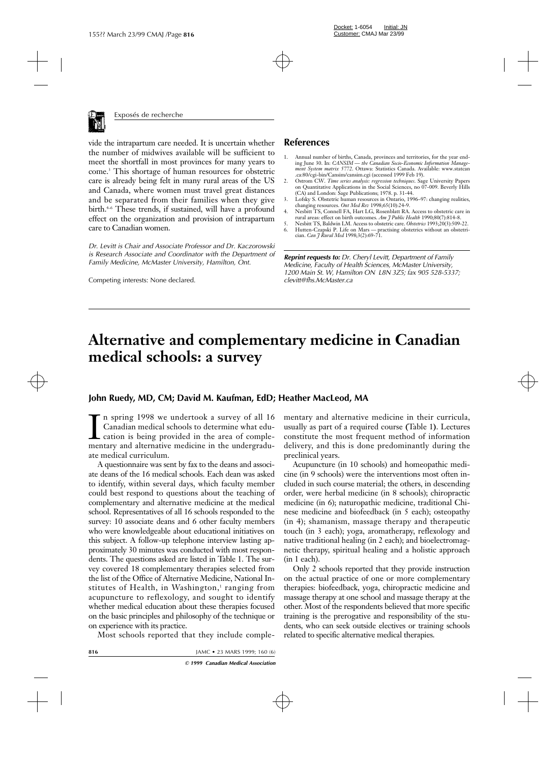

vide the intrapartum care needed. It is uncertain whether the number of midwives available will be sufficient to meet the shortfall in most provinces for many years to come.3 This shortage of human resources for obstetric care is already being felt in many rural areas of the US and Canada, where women must travel great distances and be separated from their families when they give birth.<sup>4-6</sup> These trends, if sustained, will have a profound effect on the organization and provision of intrapartum care to Canadian women.

*Dr. Levitt is Chair and Associate Professor and Dr. Kaczorowski is Research Associate and Coordinator with the Department of Family Medicine, McMaster University, Hamilton, Ont.*

Competing interests: None declared.

### **References**

- 1. Annual number of births, Canada, provinces and territories, for the year ending June 30. In: *CANSIM — the Canadian Socio-Economic Information Management System matrix 5772*. Ottawa: Statistics Canada. Available: www.statcan .ca:80/cgi-bin/Cansim/cansim.cgi (accessed 1999 Feb 19).
- 2. Ostrom CW. *Time series analysis: regression techniques*. Sage University Papers on Quantitative Applications in the Social Sciences, no 07-009. Beverly Hills (CA) and London: Sage Publications; 1978. p. 31-44.
- 3. Lofsky S. Obstetric human resources in Ontario, 1996–97: changing realities, changing resources. *Ont Med Rev* 1998;65(10):24-9.
- 4. Nesbitt TS, Connell FA, Hart LG, Rosenblatt RA. Access to obstetric care in rural areas: effect on birth outcomes. *Am J Public Health* 1990;80(7):814-8.
- 5. Nesbitt TS, Baldwin LM. Access to obstetric care. *Obstetrics* 1993;20(3):509-22.
- Hutten-Czapski P. Life on Mars practising obstetrics without an obstetrician. *Can J Rural Med* 1998;3(2):69-71.

*Reprint requests to: Dr. Cheryl Levitt, Department of Family Medicine, Faculty of Health Sciences, McMaster University, 1200 Main St. W, Hamilton ON L8N 3Z5; fax 905 528-5337; clevitt@fhs.McMaster.ca*

# **Alternative and complementary medicine in Canadian medical schools: a survey**

### **John Ruedy, MD, CM; David M. Kaufman, EdD; Heather MacLeod, MA**

In spring 1998 we undertook a survey of all 16<br>Canadian medical schools to determine what edu-<br>cation is being provided in the area of comple-<br>mentary and alternative medicine in the undergradun spring 1998 we undertook a survey of all 16 Canadian medical schools to determine what education is being provided in the area of compleate medical curriculum.

A questionnaire was sent by fax to the deans and associate deans of the 16 medical schools. Each dean was asked to identify, within several days, which faculty member could best respond to questions about the teaching of complementary and alternative medicine at the medical school. Representatives of all 16 schools responded to the survey: 10 associate deans and 6 other faculty members who were knowledgeable about educational initiatives on this subject. A follow-up telephone interview lasting approximately 30 minutes was conducted with most respondents. The questions asked are listed in Table 1. The survey covered 18 complementary therapies selected from the list of the Office of Alternative Medicine, National Institutes of Health, in Washington, $<sup>1</sup>$  ranging from</sup> acupuncture to reflexology, and sought to identify whether medical education about these therapies focused on the basic principles and philosophy of the technique or on experience with its practice.

Most schools reported that they include comple-

mentary and alternative medicine in their curricula, usually as part of a required course **(**Table 1**)**. Lectures constitute the most frequent method of information delivery, and this is done predominantly during the preclinical years.

Acupuncture (in 10 schools) and homeopathic medicine (in 9 schools) were the interventions most often included in such course material; the others, in descending order, were herbal medicine (in 8 schools); chiropractic medicine (in 6); naturopathic medicine, traditional Chinese medicine and biofeedback (in 5 each); osteopathy (in 4); shamanism, massage therapy and therapeutic touch (in 3 each); yoga, aromatherapy, reflexology and native traditional healing (in 2 each); and bioelectromagnetic therapy, spiritual healing and a holistic approach (in 1 each).

Only 2 schools reported that they provide instruction on the actual practice of one or more complementary therapies: biofeedback, yoga, chiropractic medicine and massage therapy at one school and massage therapy at the other. Most of the respondents believed that more specific training is the prerogative and responsibility of the students, who can seek outside electives or training schools related to specific alternative medical therapies.

**816** JAMC • 23 MARS 1999; 160 (6)